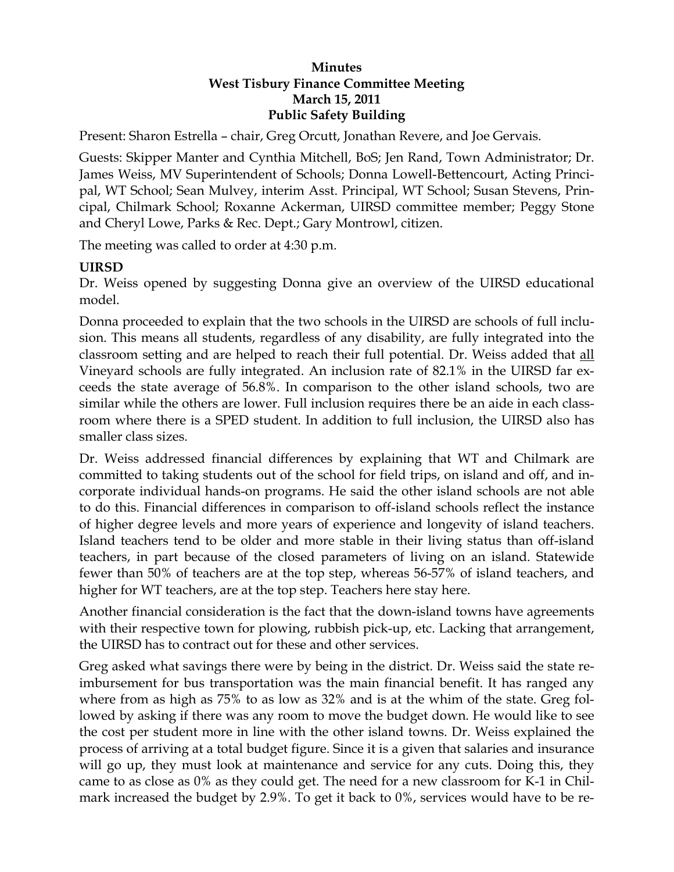#### **Minutes West Tisbury Finance Committee Meeting March 15, 2011 Public Safety Building**

Present: Sharon Estrella – chair, Greg Orcutt, Jonathan Revere, and Joe Gervais.

Guests: Skipper Manter and Cynthia Mitchell, BoS; Jen Rand, Town Administrator; Dr. James Weiss, MV Superintendent of Schools; Donna Lowell-Bettencourt, Acting Principal, WT School; Sean Mulvey, interim Asst. Principal, WT School; Susan Stevens, Principal, Chilmark School; Roxanne Ackerman, UIRSD committee member; Peggy Stone and Cheryl Lowe, Parks & Rec. Dept.; Gary Montrowl, citizen.

The meeting was called to order at 4:30 p.m.

# **UIRSD**

Dr. Weiss opened by suggesting Donna give an overview of the UIRSD educational model.

Donna proceeded to explain that the two schools in the UIRSD are schools of full inclusion. This means all students, regardless of any disability, are fully integrated into the classroom setting and are helped to reach their full potential. Dr. Weiss added that all Vineyard schools are fully integrated. An inclusion rate of 82.1% in the UIRSD far exceeds the state average of 56.8%. In comparison to the other island schools, two are similar while the others are lower. Full inclusion requires there be an aide in each classroom where there is a SPED student. In addition to full inclusion, the UIRSD also has smaller class sizes.

Dr. Weiss addressed financial differences by explaining that WT and Chilmark are committed to taking students out of the school for field trips, on island and off, and incorporate individual hands-on programs. He said the other island schools are not able to do this. Financial differences in comparison to off-island schools reflect the instance of higher degree levels and more years of experience and longevity of island teachers. Island teachers tend to be older and more stable in their living status than off-island teachers, in part because of the closed parameters of living on an island. Statewide fewer than 50% of teachers are at the top step, whereas 56-57% of island teachers, and higher for WT teachers, are at the top step. Teachers here stay here.

Another financial consideration is the fact that the down-island towns have agreements with their respective town for plowing, rubbish pick-up, etc. Lacking that arrangement, the UIRSD has to contract out for these and other services.

Greg asked what savings there were by being in the district. Dr. Weiss said the state reimbursement for bus transportation was the main financial benefit. It has ranged any where from as high as 75% to as low as 32% and is at the whim of the state. Greg followed by asking if there was any room to move the budget down. He would like to see the cost per student more in line with the other island towns. Dr. Weiss explained the process of arriving at a total budget figure. Since it is a given that salaries and insurance will go up, they must look at maintenance and service for any cuts. Doing this, they came to as close as 0% as they could get. The need for a new classroom for K-1 in Chilmark increased the budget by 2.9%. To get it back to 0%, services would have to be re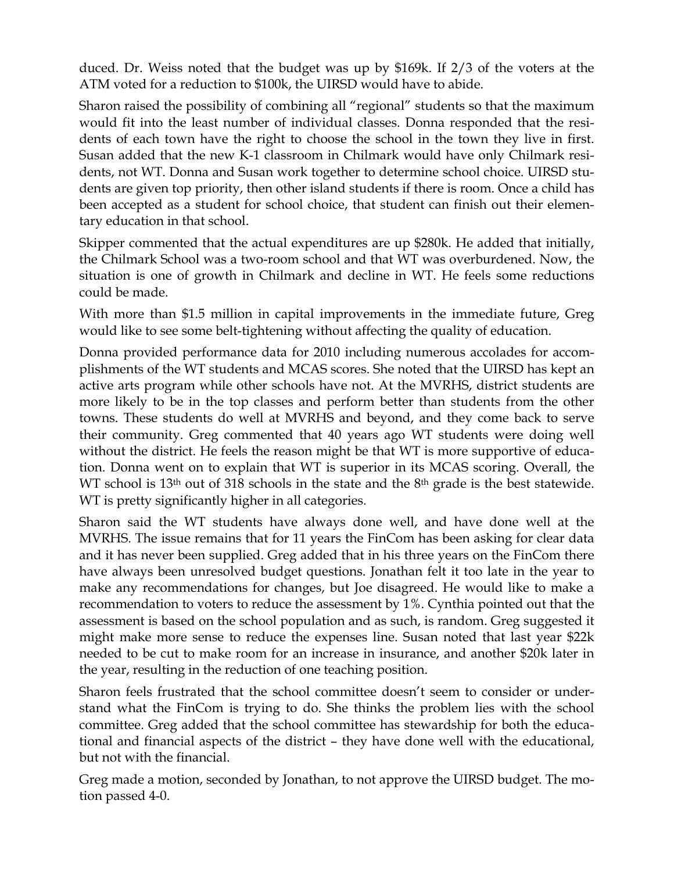duced. Dr. Weiss noted that the budget was up by \$169k. If 2/3 of the voters at the ATM voted for a reduction to \$100k, the UIRSD would have to abide.

Sharon raised the possibility of combining all "regional" students so that the maximum would fit into the least number of individual classes. Donna responded that the residents of each town have the right to choose the school in the town they live in first. Susan added that the new K-1 classroom in Chilmark would have only Chilmark residents, not WT. Donna and Susan work together to determine school choice. UIRSD students are given top priority, then other island students if there is room. Once a child has been accepted as a student for school choice, that student can finish out their elementary education in that school.

Skipper commented that the actual expenditures are up \$280k. He added that initially, the Chilmark School was a two-room school and that WT was overburdened. Now, the situation is one of growth in Chilmark and decline in WT. He feels some reductions could be made.

With more than \$1.5 million in capital improvements in the immediate future, Greg would like to see some belt-tightening without affecting the quality of education.

Donna provided performance data for 2010 including numerous accolades for accomplishments of the WT students and MCAS scores. She noted that the UIRSD has kept an active arts program while other schools have not. At the MVRHS, district students are more likely to be in the top classes and perform better than students from the other towns. These students do well at MVRHS and beyond, and they come back to serve their community. Greg commented that 40 years ago WT students were doing well without the district. He feels the reason might be that WT is more supportive of education. Donna went on to explain that WT is superior in its MCAS scoring. Overall, the WT school is  $13<sup>th</sup>$  out of 318 schools in the state and the  $8<sup>th</sup>$  grade is the best statewide. WT is pretty significantly higher in all categories.

Sharon said the WT students have always done well, and have done well at the MVRHS. The issue remains that for 11 years the FinCom has been asking for clear data and it has never been supplied. Greg added that in his three years on the FinCom there have always been unresolved budget questions. Jonathan felt it too late in the year to make any recommendations for changes, but Joe disagreed. He would like to make a recommendation to voters to reduce the assessment by 1%. Cynthia pointed out that the assessment is based on the school population and as such, is random. Greg suggested it might make more sense to reduce the expenses line. Susan noted that last year \$22k needed to be cut to make room for an increase in insurance, and another \$20k later in the year, resulting in the reduction of one teaching position.

Sharon feels frustrated that the school committee doesn't seem to consider or understand what the FinCom is trying to do. She thinks the problem lies with the school committee. Greg added that the school committee has stewardship for both the educational and financial aspects of the district – they have done well with the educational, but not with the financial.

Greg made a motion, seconded by Jonathan, to not approve the UIRSD budget. The motion passed 4-0.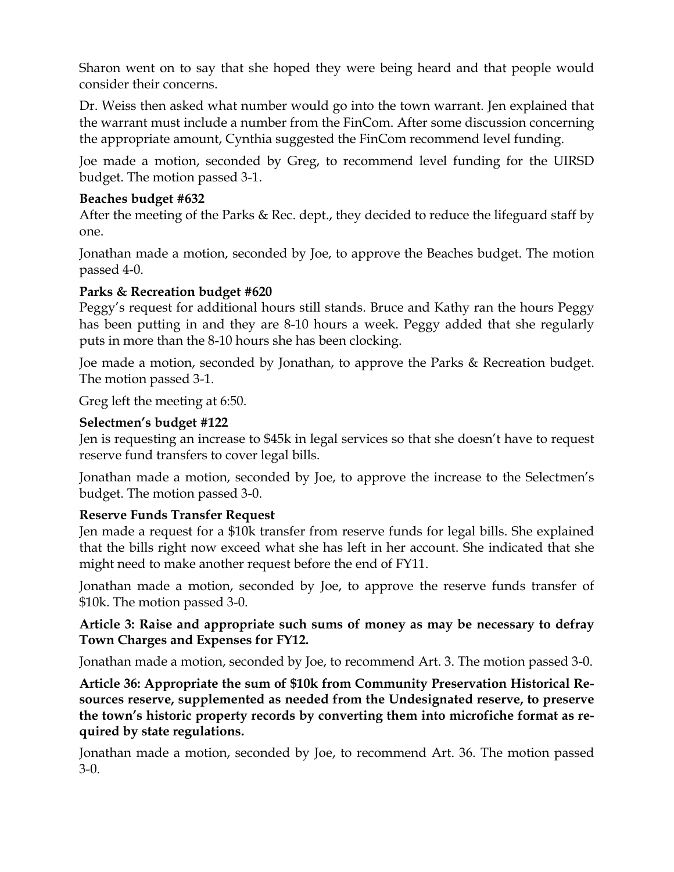Sharon went on to say that she hoped they were being heard and that people would consider their concerns.

Dr. Weiss then asked what number would go into the town warrant. Jen explained that the warrant must include a number from the FinCom. After some discussion concerning the appropriate amount, Cynthia suggested the FinCom recommend level funding.

Joe made a motion, seconded by Greg, to recommend level funding for the UIRSD budget. The motion passed 3-1.

## **Beaches budget #632**

After the meeting of the Parks & Rec. dept., they decided to reduce the lifeguard staff by one.

Jonathan made a motion, seconded by Joe, to approve the Beaches budget. The motion passed 4-0.

### **Parks & Recreation budget #620**

Peggy's request for additional hours still stands. Bruce and Kathy ran the hours Peggy has been putting in and they are 8-10 hours a week. Peggy added that she regularly puts in more than the 8-10 hours she has been clocking.

Joe made a motion, seconded by Jonathan, to approve the Parks & Recreation budget. The motion passed 3-1.

Greg left the meeting at 6:50.

### **Selectmen's budget #122**

Jen is requesting an increase to \$45k in legal services so that she doesn't have to request reserve fund transfers to cover legal bills.

Jonathan made a motion, seconded by Joe, to approve the increase to the Selectmen's budget. The motion passed 3-0.

# **Reserve Funds Transfer Request**

Jen made a request for a \$10k transfer from reserve funds for legal bills. She explained that the bills right now exceed what she has left in her account. She indicated that she might need to make another request before the end of FY11.

Jonathan made a motion, seconded by Joe, to approve the reserve funds transfer of \$10k. The motion passed 3-0.

### **Article 3: Raise and appropriate such sums of money as may be necessary to defray Town Charges and Expenses for FY12.**

Jonathan made a motion, seconded by Joe, to recommend Art. 3. The motion passed 3-0.

**Article 36: Appropriate the sum of \$10k from Community Preservation Historical Resources reserve, supplemented as needed from the Undesignated reserve, to preserve the town's historic property records by converting them into microfiche format as required by state regulations.** 

Jonathan made a motion, seconded by Joe, to recommend Art. 36. The motion passed 3-0.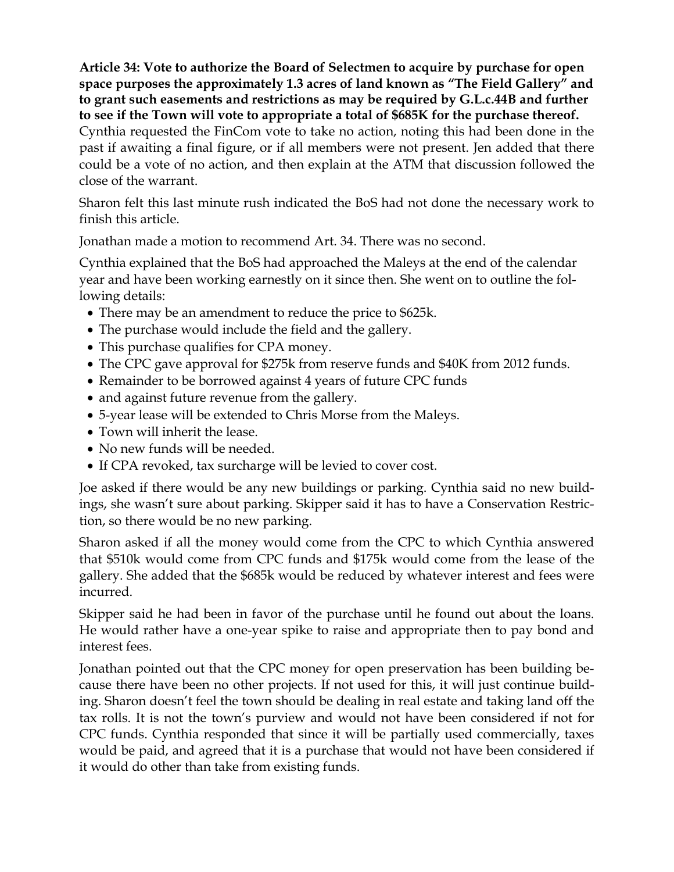**Article 34: Vote to authorize the Board of Selectmen to acquire by purchase for open space purposes the approximately 1.3 acres of land known as "The Field Gallery" and to grant such easements and restrictions as may be required by G.L.c.44B and further to see if the Town will vote to appropriate a total of \$685K for the purchase thereof.**  Cynthia requested the FinCom vote to take no action, noting this had been done in the past if awaiting a final figure, or if all members were not present. Jen added that there could be a vote of no action, and then explain at the ATM that discussion followed the close of the warrant.

Sharon felt this last minute rush indicated the BoS had not done the necessary work to finish this article.

Jonathan made a motion to recommend Art. 34. There was no second.

Cynthia explained that the BoS had approached the Maleys at the end of the calendar year and have been working earnestly on it since then. She went on to outline the following details:

- There may be an amendment to reduce the price to \$625k.
- The purchase would include the field and the gallery.
- This purchase qualifies for CPA money.
- The CPC gave approval for \$275k from reserve funds and \$40K from 2012 funds.
- Remainder to be borrowed against 4 years of future CPC funds
- and against future revenue from the gallery.
- 5-year lease will be extended to Chris Morse from the Maleys.
- Town will inherit the lease.
- No new funds will be needed.
- If CPA revoked, tax surcharge will be levied to cover cost.

Joe asked if there would be any new buildings or parking. Cynthia said no new buildings, she wasn't sure about parking. Skipper said it has to have a Conservation Restriction, so there would be no new parking.

Sharon asked if all the money would come from the CPC to which Cynthia answered that \$510k would come from CPC funds and \$175k would come from the lease of the gallery. She added that the \$685k would be reduced by whatever interest and fees were incurred.

Skipper said he had been in favor of the purchase until he found out about the loans. He would rather have a one-year spike to raise and appropriate then to pay bond and interest fees.

Jonathan pointed out that the CPC money for open preservation has been building because there have been no other projects. If not used for this, it will just continue building. Sharon doesn't feel the town should be dealing in real estate and taking land off the tax rolls. It is not the town's purview and would not have been considered if not for CPC funds. Cynthia responded that since it will be partially used commercially, taxes would be paid, and agreed that it is a purchase that would not have been considered if it would do other than take from existing funds.